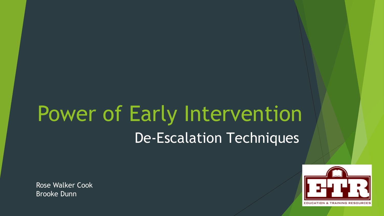# Power of Early Intervention De-Escalation Techniques

Rose Walker Cook Brooke Dunn



**EDUCATION & TRAINING RESOURI**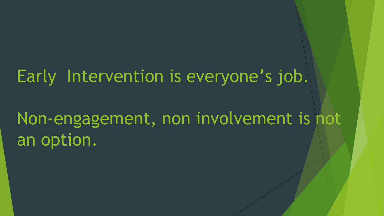### Early Intervention is everyone's job.

## Non-engagement, non involvement is not an option.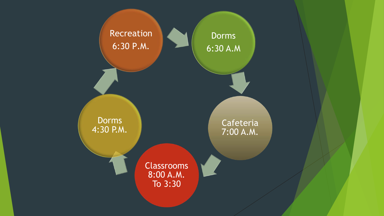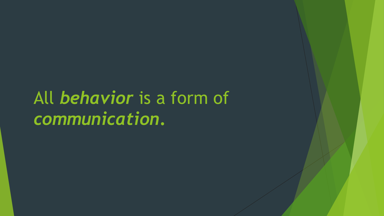# All *behavior* is a form of *communication***.**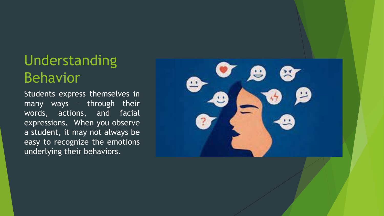### Understanding Behavior

Students express themselves in many ways – through their words, actions, and facial expressions. When you observe a student, it may not always be easy to recognize the emotions underlying their behaviors.

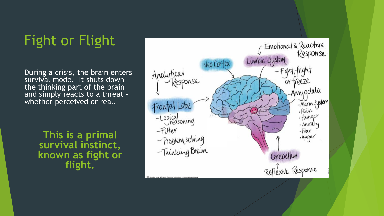### Fight or Flight

During a crisis, the brain enters survival mode. It shuts down the thinking part of the brain and simply reacts to a threat -<br>whether perceived or real.

> **This is a primal survival instinct, known as fight or flight.**

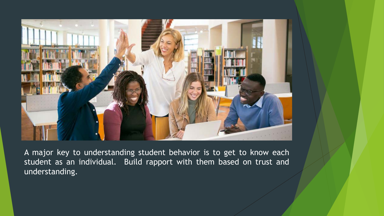

A major key to understanding student behavior is to get to know each student as an individual. Build rapport with them based on trust and understanding.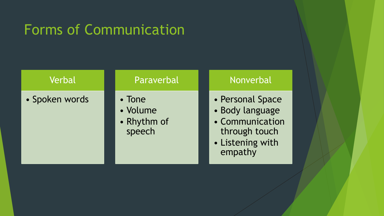### Forms of Communication

| Verbal         | Paraverbal                                  | Nonverbal                                                                                              |
|----------------|---------------------------------------------|--------------------------------------------------------------------------------------------------------|
| • Spoken words | • Tone<br>· Volume<br>• Rhythm of<br>speech | • Personal Space<br>• Body language<br>• Communication<br>through touch<br>• Listening with<br>empathy |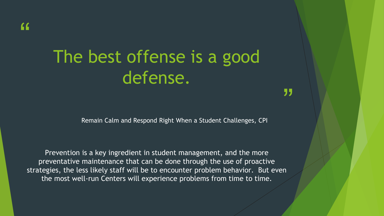# The best offense is a good defense.

Remain Calm and Respond Right When a Student Challenges, CPI

"

Prevention is a key ingredient in student management, and the more preventative maintenance that can be done through the use of proactive strategies, the less likely staff will be to encounter problem behavior. But even the most well-run Centers will experience problems from time to time.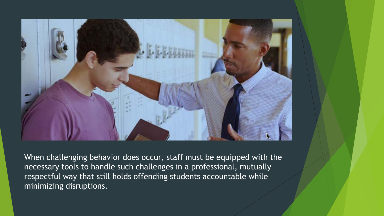

When challenging behavior does occur, staff must be equipped with the necessary tools to handle such challenges in a professional, mutually respectful way that still holds offending students accountable while minimizing disruptions.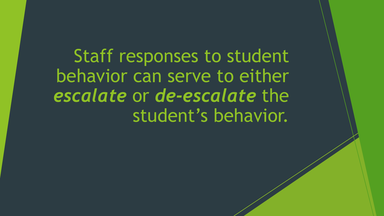Staff responses to student behavior can serve to either *escalate* or *de-escalate* the student's behavior.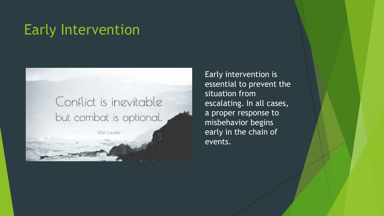### Early Intervention

#### Conflict is inevitable but combat is optional.

Max Lucado

Early intervention is essential to prevent the situation from escalating. In all cases, a proper response to misbehavior begins early in the chain of events.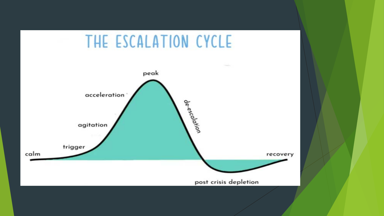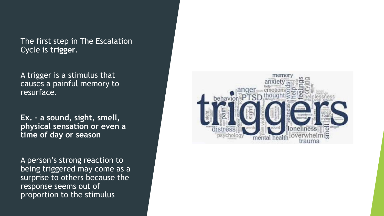The first step in The Escalation Cycle is **trigger**.

A trigger is a stimulus that causes a painful memory to resurface.

**Ex. – a sound, sight, smell, physical sensation or even a time of day or season**

A person's strong reaction to being triggered may come as a surprise to others because the response seems out of proportion to the stimulus

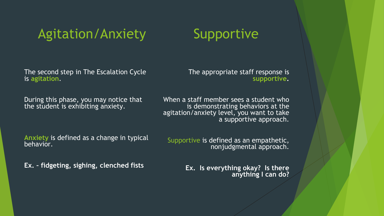#### Agitation/Anxiety

#### **Supportive**

The second step in The Escalation Cycle is **agitation**.

The appropriate staff response is **supportive.**

During this phase, you may notice that the student is exhibiting anxiety.

When a staff member sees a student who is demonstrating behaviors at the agitation/anxiety level, you want to take a supportive approach.

**Anxiety** is defined as a change in typical behavior.

Supportive is defined as an empathetic, nonjudgmental approach.

**Ex. – fidgeting, sighing, clenched fists**

**Ex. Is everything okay? Is there anything I can do?**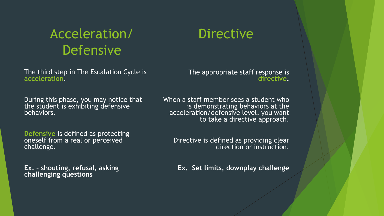#### Acceleration/ Defensive

The third step in The Escalation Cycle is **acceleration**.

During this phase, you may notice that the student is exhibiting defensive behaviors.

**Defensive** is defined as protecting oneself from a real or perceived challenge.

**Ex. – shouting, refusal, asking challenging questions**

#### **Directive**

The appropriate staff response is **directive.**

When a staff member sees a student who is demonstrating behaviors at the acceleration/defensive level, you want to take a directive approach.

Directive is defined as providing clear direction or instruction.

**Ex. Set limits, downplay challenge**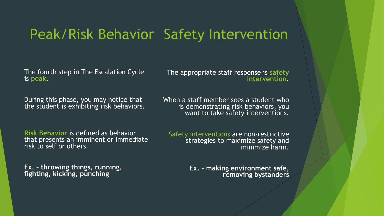#### Peak/Risk Behavior Safety Intervention

The fourth step in The Escalation Cycle is **peak**.

The appropriate staff response is **safety intervention.**

During this phase, you may notice that the student is exhibiting risk behaviors. When a staff member sees a student who is demonstrating risk behaviors, you want to take safety interventions.

**Risk Behavior** is defined as behavior that presents an imminent or immediate risk to self or others.

**Ex. – throwing things, running, fighting, kicking, punching**

Safety interventions are non-restrictive strategies to maximize safety and minimize harm.

> **Ex. – making environment safe, removing bystanders**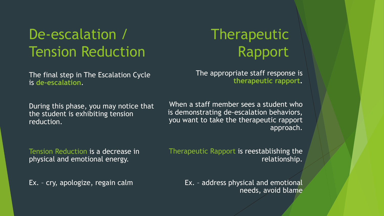### De-escalation / Tension Reduction

The final step in The Escalation Cycle is **de-escalation**.

### **Therapeutic** Rapport

The appropriate staff response is **therapeutic rapport.**

During this phase, you may notice that the student is exhibiting tension reduction.

When a staff member sees a student who is demonstrating de-escalation behaviors, you want to take the therapeutic rapport approach.

Tension Reduction is a decrease in physical and emotional energy.

Therapeutic Rapport is reestablishing the relationship.

Ex. – cry, apologize, regain calm

Ex. – address physical and emotional needs, avoid blame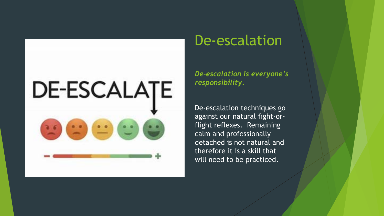# **DE-ESCALATE**

#### De-escalation

*De-escalation is everyone's responsibility.* 

De-escalation techniques go against our natural fight-orflight reflexes. Remaining calm and professionally detached is not natural and therefore it is a skill that will need to be practiced.